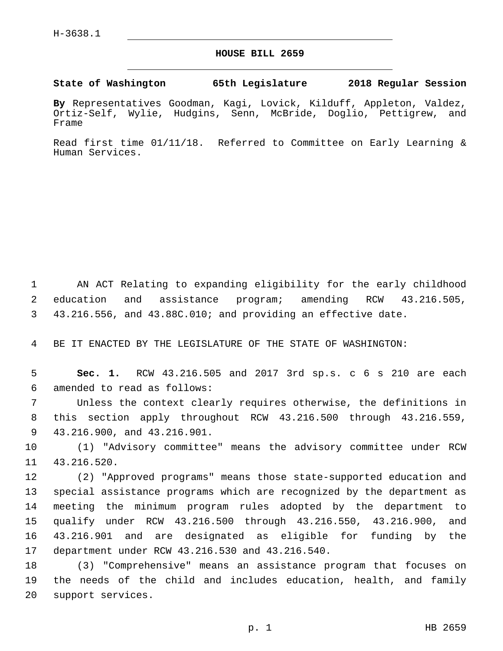## **HOUSE BILL 2659**

**State of Washington 65th Legislature 2018 Regular Session**

**By** Representatives Goodman, Kagi, Lovick, Kilduff, Appleton, Valdez, Ortiz-Self, Wylie, Hudgins, Senn, McBride, Doglio, Pettigrew, and Frame

Read first time 01/11/18. Referred to Committee on Early Learning & Human Services.

1 AN ACT Relating to expanding eligibility for the early childhood 2 education and assistance program; amending RCW 43.216.505, 3 43.216.556, and 43.88C.010; and providing an effective date.

4 BE IT ENACTED BY THE LEGISLATURE OF THE STATE OF WASHINGTON:

5 **Sec. 1.** RCW 43.216.505 and 2017 3rd sp.s. c 6 s 210 are each amended to read as follows:6

7 Unless the context clearly requires otherwise, the definitions in 8 this section apply throughout RCW 43.216.500 through 43.216.559, 9 43.216.900, and 43.216.901.

10 (1) "Advisory committee" means the advisory committee under RCW 11 43.216.520.

 (2) "Approved programs" means those state-supported education and special assistance programs which are recognized by the department as meeting the minimum program rules adopted by the department to qualify under RCW 43.216.500 through 43.216.550, 43.216.900, and 43.216.901 and are designated as eligible for funding by the 17 department under RCW 43.216.530 and 43.216.540.

18 (3) "Comprehensive" means an assistance program that focuses on 19 the needs of the child and includes education, health, and family 20 support services.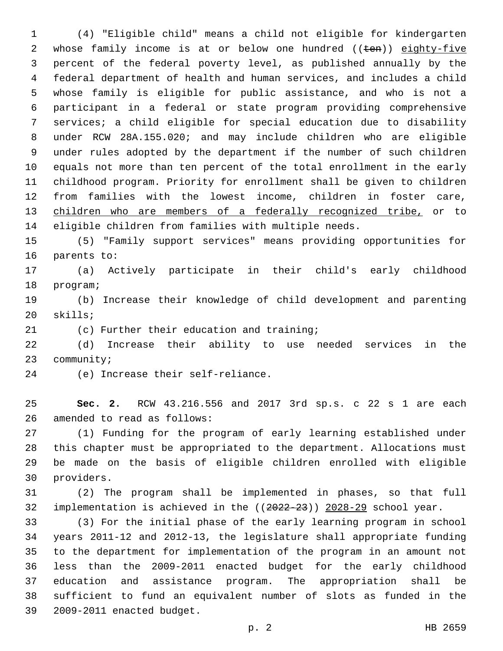(4) "Eligible child" means a child not eligible for kindergarten 2 whose family income is at or below one hundred ((ten)) eighty-five percent of the federal poverty level, as published annually by the federal department of health and human services, and includes a child whose family is eligible for public assistance, and who is not a participant in a federal or state program providing comprehensive services; a child eligible for special education due to disability under RCW 28A.155.020; and may include children who are eligible under rules adopted by the department if the number of such children equals not more than ten percent of the total enrollment in the early childhood program. Priority for enrollment shall be given to children from families with the lowest income, children in foster care, children who are members of a federally recognized tribe, or to eligible children from families with multiple needs.

 (5) "Family support services" means providing opportunities for 16 parents to:

 (a) Actively participate in their child's early childhood 18 program;

 (b) Increase their knowledge of child development and parenting 20 skills;

21 (c) Further their education and training;

 (d) Increase their ability to use needed services in the 23 community;

24 (e) Increase their self-reliance.

 **Sec. 2.** RCW 43.216.556 and 2017 3rd sp.s. c 22 s 1 are each 26 amended to read as follows:

 (1) Funding for the program of early learning established under this chapter must be appropriated to the department. Allocations must be made on the basis of eligible children enrolled with eligible 30 providers.

 (2) The program shall be implemented in phases, so that full implementation is achieved in the ((2022-23)) 2028-29 school year.

 (3) For the initial phase of the early learning program in school years 2011-12 and 2012-13, the legislature shall appropriate funding to the department for implementation of the program in an amount not less than the 2009-2011 enacted budget for the early childhood education and assistance program. The appropriation shall be sufficient to fund an equivalent number of slots as funded in the 2009-2011 enacted budget.39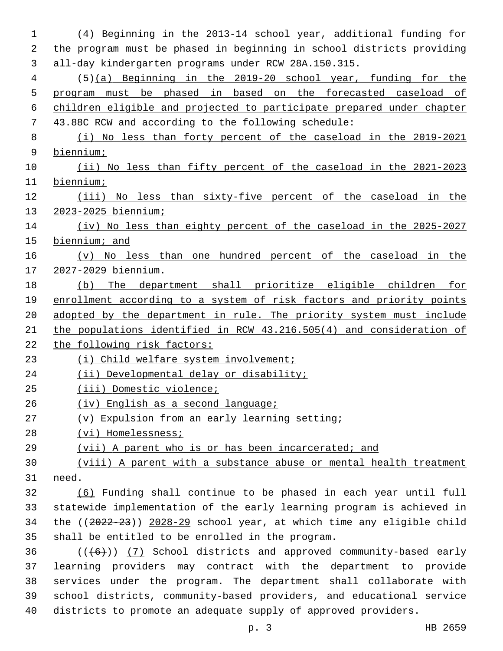(4) Beginning in the 2013-14 school year, additional funding for the program must be phased in beginning in school districts providing all-day kindergarten programs under RCW 28A.150.315. (5)(a) Beginning in the 2019-20 school year, funding for the program must be phased in based on the forecasted caseload of children eligible and projected to participate prepared under chapter 43.88C RCW and according to the following schedule: (i) No less than forty percent of the caseload in the 2019-2021 biennium; (ii) No less than fifty percent of the caseload in the 2021-2023 biennium; (iii) No less than sixty-five percent of the caseload in the 2023-2025 biennium; (iv) No less than eighty percent of the caseload in the 2025-2027 biennium; and (v) No less than one hundred percent of the caseload in the 2027-2029 biennium. (b) The department shall prioritize eligible children for enrollment according to a system of risk factors and priority points adopted by the department in rule. The priority system must include the populations identified in RCW 43.216.505(4) and consideration of the following risk factors: (i) Child welfare system involvement; (ii) Developmental delay or disability; (iii) Domestic violence; (iv) English as a second language; (v) Expulsion from an early learning setting; (vi) Homelessness; (vii) A parent who is or has been incarcerated; and (viii) A parent with a substance abuse or mental health treatment need. (6) Funding shall continue to be phased in each year until full statewide implementation of the early learning program is achieved in the ((2022-23)) 2028-29 school year, at which time any eligible child 35 shall be entitled to be enrolled in the program. ( $(\overline{6})$ ) (7) School districts and approved community-based early learning providers may contract with the department to provide services under the program. The department shall collaborate with school districts, community-based providers, and educational service

districts to promote an adequate supply of approved providers.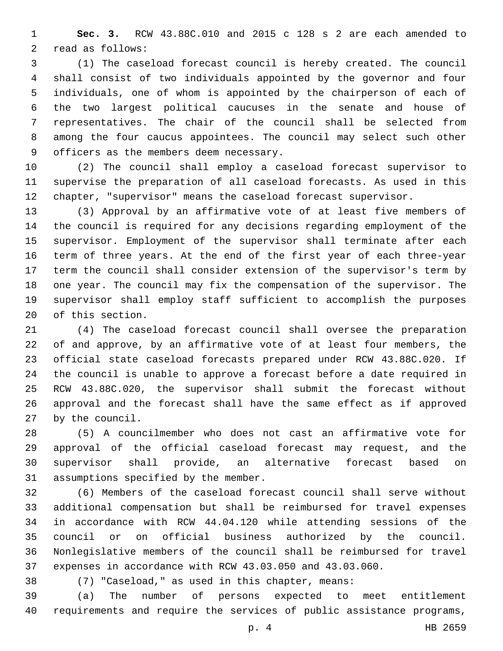**Sec. 3.** RCW 43.88C.010 and 2015 c 128 s 2 are each amended to 2 read as follows:

 (1) The caseload forecast council is hereby created. The council shall consist of two individuals appointed by the governor and four individuals, one of whom is appointed by the chairperson of each of the two largest political caucuses in the senate and house of representatives. The chair of the council shall be selected from among the four caucus appointees. The council may select such other 9 officers as the members deem necessary.

 (2) The council shall employ a caseload forecast supervisor to supervise the preparation of all caseload forecasts. As used in this chapter, "supervisor" means the caseload forecast supervisor.

 (3) Approval by an affirmative vote of at least five members of the council is required for any decisions regarding employment of the supervisor. Employment of the supervisor shall terminate after each term of three years. At the end of the first year of each three-year term the council shall consider extension of the supervisor's term by one year. The council may fix the compensation of the supervisor. The supervisor shall employ staff sufficient to accomplish the purposes 20 of this section.

 (4) The caseload forecast council shall oversee the preparation of and approve, by an affirmative vote of at least four members, the official state caseload forecasts prepared under RCW 43.88C.020. If the council is unable to approve a forecast before a date required in RCW 43.88C.020, the supervisor shall submit the forecast without approval and the forecast shall have the same effect as if approved 27 by the council.

 (5) A councilmember who does not cast an affirmative vote for approval of the official caseload forecast may request, and the supervisor shall provide, an alternative forecast based on 31 assumptions specified by the member.

 (6) Members of the caseload forecast council shall serve without additional compensation but shall be reimbursed for travel expenses in accordance with RCW 44.04.120 while attending sessions of the council or on official business authorized by the council. Nonlegislative members of the council shall be reimbursed for travel expenses in accordance with RCW 43.03.050 and 43.03.060.

(7) "Caseload," as used in this chapter, means:

 (a) The number of persons expected to meet entitlement requirements and require the services of public assistance programs,

p. 4 HB 2659